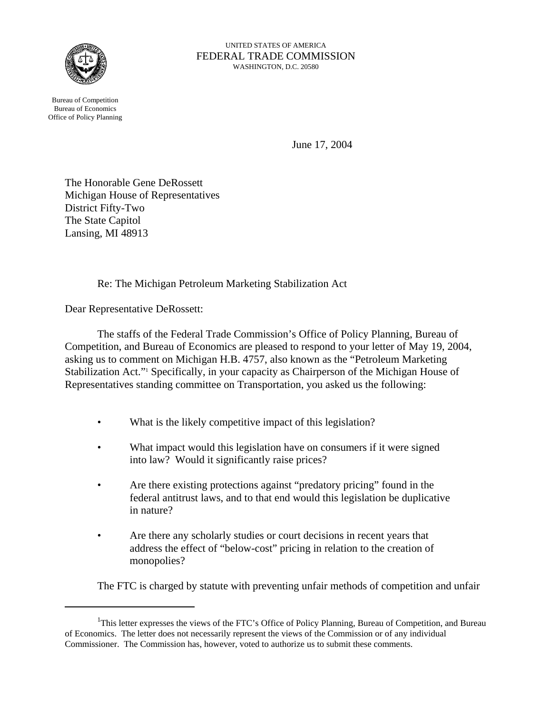

Bureau of Competition Bureau of Economics Office of Policy Planning

UNITED STATES OF AMERICA FEDERAL TRADE COMMISSION WASHINGTON, D.C. 20580

June 17, 2004

The Honorable Gene DeRossett Michigan House of Representatives District Fifty-Two The State Capitol Lansing, MI 48913

Re: The Michigan Petroleum Marketing Stabilization Act

Dear Representative DeRossett:

The staffs of the Federal Trade Commission's Office of Policy Planning, Bureau of Competition, and Bureau of Economics are pleased to respond to your letter of May 19, 2004, asking us to comment on Michigan H.B. 4757, also known as the "Petroleum Marketing Stabilization Act."<sup>1</sup> Specifically, in your capacity as Chairperson of the Michigan House of Representatives standing committee on Transportation, you asked us the following:

- What is the likely competitive impact of this legislation?
- What impact would this legislation have on consumers if it were signed into law? Would it significantly raise prices?
- Are there existing protections against "predatory pricing" found in the federal antitrust laws, and to that end would this legislation be duplicative in nature?
- Are there any scholarly studies or court decisions in recent years that address the effect of "below-cost" pricing in relation to the creation of monopolies?

The FTC is charged by statute with preventing unfair methods of competition and unfair

<sup>&</sup>lt;sup>1</sup>This letter expresses the views of the FTC's Office of Policy Planning, Bureau of Competition, and Bureau of Economics. The letter does not necessarily represent the views of the Commission or of any individual Commissioner. The Commission has, however, voted to authorize us to submit these comments.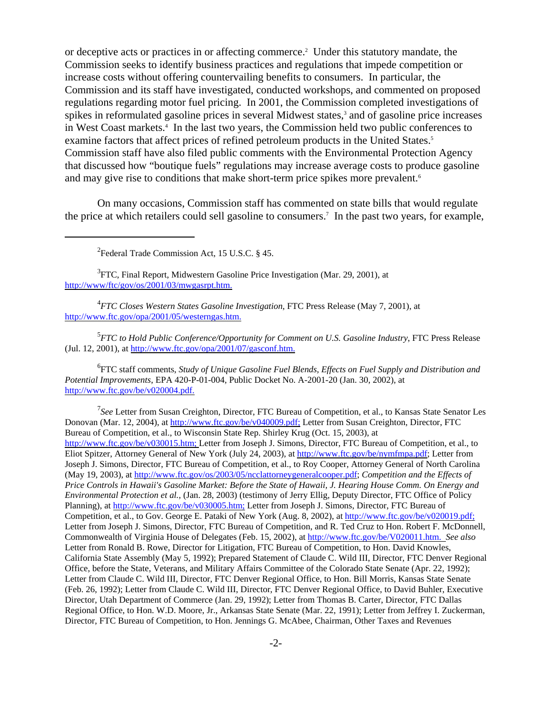or deceptive acts or practices in or affecting commerce.<sup>2</sup> Under this statutory mandate, the Commission seeks to identify business practices and regulations that impede competition or increase costs without offering countervailing benefits to consumers. In particular, the Commission and its staff have investigated, conducted workshops, and commented on proposed regulations regarding motor fuel pricing. In 2001, the Commission completed investigations of spikes in reformulated gasoline prices in several Midwest states,<sup>3</sup> and of gasoline price increases in West Coast markets.<sup>4</sup> In the last two years, the Commission held two public conferences to examine factors that affect prices of refined petroleum products in the United States.<sup>5</sup> Commission staff have also filed public comments with the Environmental Protection Agency that discussed how "boutique fuels" regulations may increase average costs to produce gasoline and may give rise to conditions that make short-term price spikes more prevalent.<sup>6</sup>

On many occasions, Commission staff has commented on state bills that would regulate the price at which retailers could sell gasoline to consumers.7 In the past two years, for example,

 ${}^{2}$ Federal Trade Commission Act, 15 U.S.C. § 45.

<sup>3</sup>FTC, Final Report, Midwestern Gasoline Price Investigation (Mar. 29, 2001), at http://www/ftc/gov/os/2001/03/mwgasrpt.htm.

4 *FTC Closes Western States Gasoline Investigation*, FTC Press Release (May 7, 2001), at http://www.ftc.gov/opa/2001/05/westerngas.htm.

5 *FTC to Hold Public Conference/Opportunity for Comment on U.S. Gasoline Industry*, FTC Press Release (Jul. 12, 2001), at http://www.ftc.gov/opa/2001/07/gasconf.htm.

6 FTC staff comments, *Study of Unique Gasoline Fuel Blends, Effects on Fuel Supply and Distribution and Potential Improvements*, EPA 420-P-01-004, Public Docket No. A-2001-20 (Jan. 30, 2002), at http://www.ftc.gov/be/v020004.pdf.

<sup>7</sup>See Letter from Susan Creighton, Director, FTC Bureau of Competition, et al., to Kansas State Senator Les Donovan (Mar. 12, 2004), at http://www.ftc.gov/be/v040009.pdf; Letter from Susan Creighton, Director, FTC Bureau of Competition, et al., to Wisconsin State Rep. Shirley Krug (Oct. 15, 2003), at http://www.ftc.gov/be/v030015.htm; Letter from Joseph J. Simons, Director, FTC Bureau of Competition, et al., to Eliot Spitzer, Attorney General of New York (July 24, 2003), at http://www.ftc.gov/be/nymfmpa.pdf; Letter from Joseph J. Simons, Director, FTC Bureau of Competition, et al., to Roy Cooper, Attorney General of North Carolina (May 19, 2003), at http://www.ftc.gov/os/2003/05/ncclattorneygeneralcooper.pdf; *Competition and the Effects of Price Controls in Hawaii's Gasoline Market: Before the State of Hawaii, J. Hearing House Comm. On Energy and Environmental Protection et al.,* (Jan. 28, 2003) (testimony of Jerry Ellig, Deputy Director, FTC Office of Policy Planning), at http://www.ftc.gov/be/v030005.htm; Letter from Joseph J. Simons, Director, FTC Bureau of Competition, et al., to Gov. George E. Pataki of New York (Aug. 8, 2002), at http://www.ftc.gov/be/v020019.pdf; Letter from Joseph J. Simons, Director, FTC Bureau of Competition, and R. Ted Cruz to Hon. Robert F. McDonnell, Commonwealth of Virginia House of Delegates (Feb. 15, 2002), at http://www.ftc.gov/be/V020011.htm. *See also* Letter from Ronald B. Rowe, Director for Litigation, FTC Bureau of Competition, to Hon. David Knowles, California State Assembly (May 5, 1992); Prepared Statement of Claude C. Wild III, Director, FTC Denver Regional Office, before the State, Veterans, and Military Affairs Committee of the Colorado State Senate (Apr. 22, 1992); Letter from Claude C. Wild III, Director, FTC Denver Regional Office, to Hon. Bill Morris, Kansas State Senate (Feb. 26, 1992); Letter from Claude C. Wild III, Director, FTC Denver Regional Office, to David Buhler, Executive Director, Utah Department of Commerce (Jan. 29, 1992); Letter from Thomas B. Carter, Director, FTC Dallas Regional Office, to Hon. W.D. Moore, Jr., Arkansas State Senate (Mar. 22, 1991); Letter from Jeffrey I. Zuckerman, Director, FTC Bureau of Competition, to Hon. Jennings G. McAbee, Chairman, Other Taxes and Revenues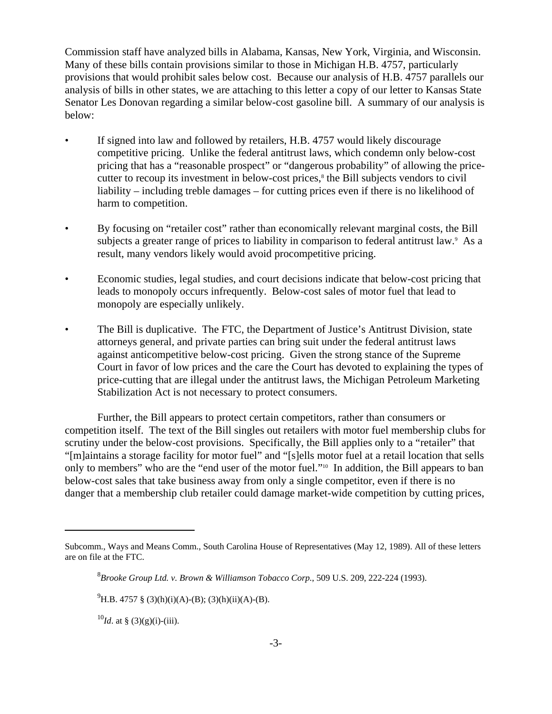Commission staff have analyzed bills in Alabama, Kansas, New York, Virginia, and Wisconsin. Many of these bills contain provisions similar to those in Michigan H.B. 4757, particularly provisions that would prohibit sales below cost. Because our analysis of H.B. 4757 parallels our analysis of bills in other states, we are attaching to this letter a copy of our letter to Kansas State Senator Les Donovan regarding a similar below-cost gasoline bill. A summary of our analysis is below:

- If signed into law and followed by retailers, H.B. 4757 would likely discourage competitive pricing. Unlike the federal antitrust laws, which condemn only below-cost pricing that has a "reasonable prospect" or "dangerous probability" of allowing the pricecutter to recoup its investment in below-cost prices,<sup>8</sup> the Bill subjects vendors to civil liability – including treble damages – for cutting prices even if there is no likelihood of harm to competition.
- By focusing on "retailer cost" rather than economically relevant marginal costs, the Bill subjects a greater range of prices to liability in comparison to federal antitrust law.<sup>9</sup> As a result, many vendors likely would avoid procompetitive pricing.
- Economic studies, legal studies, and court decisions indicate that below-cost pricing that leads to monopoly occurs infrequently. Below-cost sales of motor fuel that lead to monopoly are especially unlikely.
- The Bill is duplicative. The FTC, the Department of Justice's Antitrust Division, state attorneys general, and private parties can bring suit under the federal antitrust laws against anticompetitive below-cost pricing. Given the strong stance of the Supreme Court in favor of low prices and the care the Court has devoted to explaining the types of price-cutting that are illegal under the antitrust laws, the Michigan Petroleum Marketing Stabilization Act is not necessary to protect consumers.

Further, the Bill appears to protect certain competitors, rather than consumers or competition itself. The text of the Bill singles out retailers with motor fuel membership clubs for scrutiny under the below-cost provisions. Specifically, the Bill applies only to a "retailer" that "[m]aintains a storage facility for motor fuel" and "[s]ells motor fuel at a retail location that sells only to members" who are the "end user of the motor fuel."10 In addition, the Bill appears to ban below-cost sales that take business away from only a single competitor, even if there is no danger that a membership club retailer could damage market-wide competition by cutting prices,

 $^{10}$ *Id.* at § (3)(g)(i)-(iii).

Subcomm., Ways and Means Comm., South Carolina House of Representatives (May 12, 1989). All of these letters are on file at the FTC.

<sup>8</sup> *Brooke Group Ltd. v. Brown & Williamson Tobacco Corp.*, 509 U.S. 209, 222-224 (1993).

 $^{9}$ H.B. 4757 § (3)(h)(i)(A)-(B); (3)(h)(ii)(A)-(B).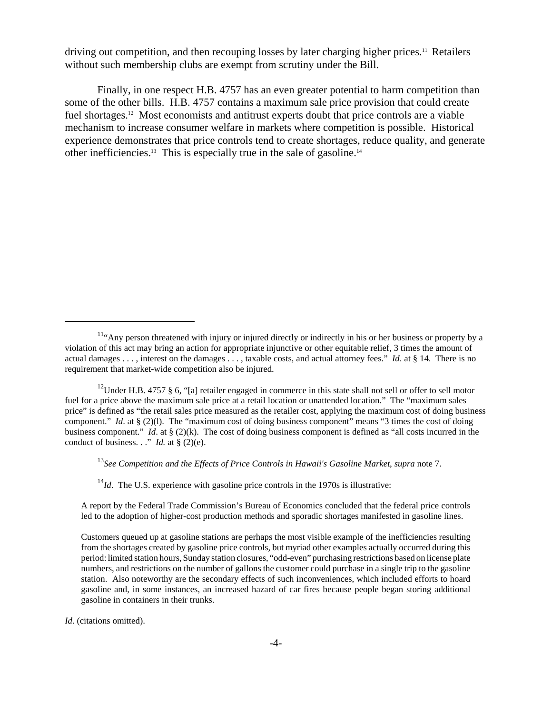driving out competition, and then recouping losses by later charging higher prices.11 Retailers without such membership clubs are exempt from scrutiny under the Bill.

Finally, in one respect H.B. 4757 has an even greater potential to harm competition than some of the other bills. H.B. 4757 contains a maximum sale price provision that could create fuel shortages.<sup>12</sup> Most economists and antitrust experts doubt that price controls are a viable mechanism to increase consumer welfare in markets where competition is possible. Historical experience demonstrates that price controls tend to create shortages, reduce quality, and generate other inefficiencies.13 This is especially true in the sale of gasoline.14

<sup>13</sup>*See Competition and the Effects of Price Controls in Hawaii's Gasoline Market*, *supra* note 7.

 $14$ *Id*. The U.S. experience with gasoline price controls in the 1970s is illustrative:

A report by the Federal Trade Commission's Bureau of Economics concluded that the federal price controls led to the adoption of higher-cost production methods and sporadic shortages manifested in gasoline lines.

<sup>&</sup>lt;sup>11.</sup> Any person threatened with injury or injured directly or indirectly in his or her business or property by a violation of this act may bring an action for appropriate injunctive or other equitable relief, 3 times the amount of actual damages . . . , interest on the damages . . . , taxable costs, and actual attorney fees." *Id*. at § 14. There is no requirement that market-wide competition also be injured.

<sup>&</sup>lt;sup>12</sup>Under H.B. 4757 § 6, "[a] retailer engaged in commerce in this state shall not sell or offer to sell motor fuel for a price above the maximum sale price at a retail location or unattended location." The "maximum sales price" is defined as "the retail sales price measured as the retailer cost, applying the maximum cost of doing business component." *Id.* at § (2)(1). The "maximum cost of doing business component" means "3 times the cost of doing business component." *Id*. at § (2)(k). The cost of doing business component is defined as "all costs incurred in the conduct of business. . ." *Id.* at  $\S$  (2)(e).

Customers queued up at gasoline stations are perhaps the most visible example of the inefficiencies resulting from the shortages created by gasoline price controls, but myriad other examples actually occurred during this period: limited station hours, Sunday station closures, "odd-even" purchasing restrictions based on license plate numbers, and restrictions on the number of gallons the customer could purchase in a single trip to the gasoline station. Also noteworthy are the secondary effects of such inconveniences, which included efforts to hoard gasoline and, in some instances, an increased hazard of car fires because people began storing additional gasoline in containers in their trunks.

*Id*. (citations omitted).